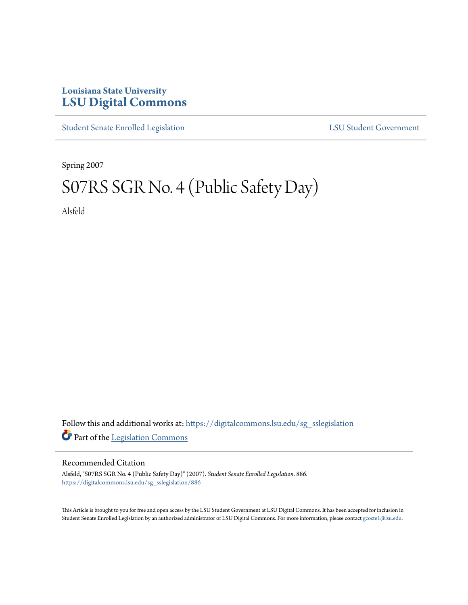## **Louisiana State University [LSU Digital Commons](https://digitalcommons.lsu.edu?utm_source=digitalcommons.lsu.edu%2Fsg_sslegislation%2F886&utm_medium=PDF&utm_campaign=PDFCoverPages)**

[Student Senate Enrolled Legislation](https://digitalcommons.lsu.edu/sg_sslegislation?utm_source=digitalcommons.lsu.edu%2Fsg_sslegislation%2F886&utm_medium=PDF&utm_campaign=PDFCoverPages) [LSU Student Government](https://digitalcommons.lsu.edu/sg?utm_source=digitalcommons.lsu.edu%2Fsg_sslegislation%2F886&utm_medium=PDF&utm_campaign=PDFCoverPages)

Spring 2007

## S07RS SGR No. 4 (Public Safety Day)

Alsfeld

Follow this and additional works at: [https://digitalcommons.lsu.edu/sg\\_sslegislation](https://digitalcommons.lsu.edu/sg_sslegislation?utm_source=digitalcommons.lsu.edu%2Fsg_sslegislation%2F886&utm_medium=PDF&utm_campaign=PDFCoverPages) Part of the [Legislation Commons](http://network.bepress.com/hgg/discipline/859?utm_source=digitalcommons.lsu.edu%2Fsg_sslegislation%2F886&utm_medium=PDF&utm_campaign=PDFCoverPages)

## Recommended Citation

Alsfeld, "S07RS SGR No. 4 (Public Safety Day)" (2007). *Student Senate Enrolled Legislation*. 886. [https://digitalcommons.lsu.edu/sg\\_sslegislation/886](https://digitalcommons.lsu.edu/sg_sslegislation/886?utm_source=digitalcommons.lsu.edu%2Fsg_sslegislation%2F886&utm_medium=PDF&utm_campaign=PDFCoverPages)

This Article is brought to you for free and open access by the LSU Student Government at LSU Digital Commons. It has been accepted for inclusion in Student Senate Enrolled Legislation by an authorized administrator of LSU Digital Commons. For more information, please contact [gcoste1@lsu.edu.](mailto:gcoste1@lsu.edu)